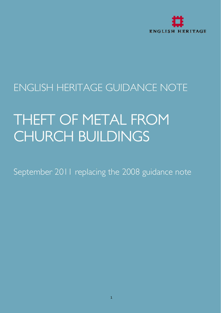

# ENGLISH HERITAGE GUIDANCE NOTE

# THEFT OF METAL FROM CHURCH BUILDINGS

September 2011 replacing the 2008 guidance note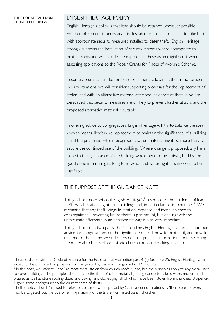#### THEFT OF METAL FROM CHURCH BUILDINGS

 $\overline{a}$ 

### ENGLISH HERITAGE POLICY

English Heritage's policy is that lead should be retained wherever possible. When replacement is necessary it is desirable to use lead on a like-for-like basis, with appropriate security measures installed to deter theft. English Heritage strongly supports the installation of security systems where appropriate to protect roofs and will include the expense of these as an eligible cost when assessing applications to the Repair Grants for Places of Worship Scheme.

In some circumstances like-for-like replacement following a theft is not prudent. In such situations, we will consider supporting proposals for the replacement of stolen lead with an alternative material after one incidence of theft, if we are persuaded that security measures are unlikely to prevent further attacks and the proposed alternative material is suitable.

In offering advice to congregations English Heritage will try to balance the ideal - which means like-for-like replacement to maintain the significance of a building - and the pragmatic, which recognises another material might be more likely to secure the continued use of the building. Where change is proposed, any harm done to the significance of the building would need to be outweighed by the good done in ensuring its long-term wind- and water-tightness in order to be justifiable.

### THE PURPOSE OF THIS GUIDANCE NOTE

This guidance note sets out English Heritage's<sup>[1](#page-1-0)</sup> response to the epidemic of lead theft<sup>[2](#page-1-1)</sup> which is affecting historic buildings and, in particular, parish churches<sup>[3](#page-1-2)</sup>. We recognise that any theft brings frustration, expense and inconvenience to congregations. Preventing future thefts is paramount, but dealing with the unfortunate aftermath in an appropriate way is also very important.

This guidance is in two parts: the first outlines English Heritage's approach and our advice for congregations on the significance of lead, how to protect it, and how to respond to thefts; the second offers detailed practical information about selecting the material to be used for historic church roofs and making it secure.

<span id="page-1-0"></span><sup>1</sup> In accordance with the Code of Practice for the Ecclesiastical Exemption para 4 (ii) footnote 25, English Heritage would expect to be consulted on proposal to change roofing materials on grade I or II\* churches.

<span id="page-1-1"></span><sup>&</sup>lt;sup>2</sup> In this note, we refer to "lead" as most metal stolen from church roofs is lead, but the principles apply to any metal used to cover buildings. The principles also apply to the theft of other metals, lightning conductors, brassware, monumental brasses as well as stone roofing slates and paving, and clay edging, all of which have been stolen from churches. Appendix 1 gives some background to the current spate of thefts.

<span id="page-1-2"></span><sup>3</sup> In this note, "church" is used to refer to a place of worship used by Christian denominations. Other places of worship may be targeted, but the overwhelming majority of thefts are from listed parish churches.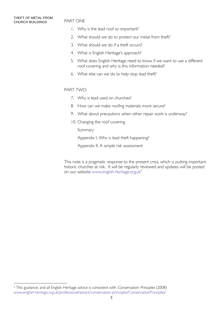l

#### PART ONE

- 1. Why is the lead roof so important?
- 2. What should we do to protect our metal from theft?
- 3. What should we do if a theft occurs?
- 4. What is English Heritage's approach?
- 5. What does English Heritage need to know if we want to use a different roof covering and why is this information needed?
- 6. What else can we do to help stop lead theft?

#### PART TWO

- 7. Why is lead used on churches?
- 8. How can we make roofing materials more secure?
- 9. What about precautions when other repair work is underway?
- 10. Changing the roof covering

Summary

Appendix I. Why is lead theft happening?

Appendix II. A simple risk assessment

This note is a pragmatic response to the present crisis, which is putting important historic churches at risk. It will be regularly reviewed and updates will be posted on our website [www.english-heritage.org.uk](http://www.english-heritage.org.uk/)<sup>[4](#page-2-0)</sup>

<span id="page-2-0"></span><sup>4</sup> This guidance, and all English Heritage advice is consistent with Conservation Principles (2008) [www.english-heritage.org.uk/professional/advice/conservation-principles/ConservationPrinciples/](http://www.english-heritage.org.uk/professional/advice/conservation-principles/ConservationPrinciples/)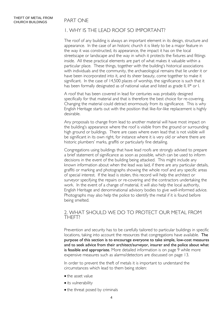### 1. WHY IS THE LEAD ROOF SO IMPORTANT?

The roof of any building is always an important element in its design, structure and appearance. In the case of an historic church it is likely to be a major feature in the way it was constructed, its appearance, the impact it has on the local streetscape or landscape and the way in which it protects the fixtures and fittings inside. All these practical elements are part of what makes it valuable within a particular place. These things, together with the building's historical associations with individuals and the community, the archaeological remains that lie under it or have been incorporated into it, and its sheer beauty, come together to make it significant. In the case of 14,500 places of worship, the significance is such that it has been formally designated as of national value and listed as grade II, II\* or I.

A roof that has been covered in lead for centuries was probably designed specifically for that material and that is therefore the best choice for re-covering. Changing the material could detract enormously from its significance. This is why English Heritage starts out with the position that like-for-like replacement is highly desirable.

Any proposals to change from lead to another material will have most impact on the building's appearance where the roof is visible from the ground or surrounding high ground or buildings. There are cases where even lead that is not visible will be significant in its own right, for instance where it is very old or where there are historic plumbers' marks, graffiti or particularly fine detailing.

Congregations using buildings that have lead roofs are strongly advised to prepare a brief statement of significance as soon as possible, which can be used to inform decisions in the event of the building being attacked. This might include any known information about when the lead was laid, if there are any particular details, graffiti or marking and photographs showing the whole roof and any specific areas of special interest. If the lead is stolen, this record will help the architect or surveyor specifying the repairs or re-covering and the contractors undertaking the work. In the event of a change of material, it will also help the local authority, English Heritage and denominational advisory bodies to give well-informed advice. Photographs may also help the police to identify the metal if it is found before being smelted.

## 2. WHAT SHOULD WE DO TO PROTECT OUR METAL FROM THEFT?

Prevention and security has to be carefully tailored to particular buildings in specific locations, taking into account the resources that congregations have available. The purpose of this section is to encourage everyone to take simple, low-cost measures and to seek advice from their architect/surveyor, insurer and the police about what is feasible and appropriate. More detailed information is on page 9 while more expensive measures such as alarms/detectors are discussed on page 13.

In order to prevent the theft of metals it is important to understand the circumstances which lead to them being stolen:

- the asset value
- its vulnerability
- the threat posed by criminals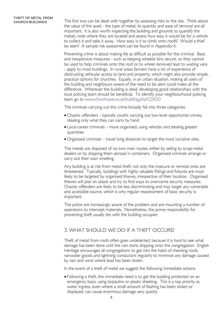CHURCH BUILDINGS The first two can be dealt with together by assessing risks to the site. Think about the value of the asset - the type of metal, its quantity and ease of removal are all important. It is also worth inspecting the building and grounds to quantify the metals, note where they are located and assess how easy it would be for a vehicle to collect it and take it away. How easy is it to climb onto roofs? Would a thief be seen? A sample risk assessment can be found in Appendix II.

> Preventing crime is about making life as difficult as possible for the criminal. Basic and inexpensive measures - such as keeping wheelie bins secure, so they cannot be used to help criminals onto the roof or to wheel removed lead to waiting vans - apply to most buildings. In rural areas farmers have a lot of experience of obstructing vehicular access to land and property, which might also provide simple, practical options for churches. Equally, in an urban situation, making all users of the building and neighbours aware of the need to be alert could make all the difference. Wherever the building is sited, developing good relationships with the local policing team should be beneficial. To identify your neighbourhood policing team go to [www.churchcare.co.uk/building.php?CDOD](http://www.churchcare.co.uk/building.php?CDOD)

The criminals carrying out this crime broadly fall into three categories:

- Chaotic offenders typically youths carrying out low-level opportunist crimes, stealing only what they can carry by hand
- Local career criminals more organised, using vehicles and stealing greater quantities
- Organised criminals travel long distances to target the most lucrative sites.

The metals are disposed of via two main routes, either by selling to scrap-metal dealers or by shipping them abroad in containers. Organised criminals arrange or carry out their own smelting.

Any building is at risk from metal theft; not only the insecure or remote ones are threatened. Typically, buildings with highly valuable fittings and fixtures are most likely to be targeted by organised thieves, irrespective of their location. Organised thieves will plan an attack and try to find ways to overcome security measures. Chaotic offenders are likely to be less discriminating and may target any vulnerable and accessible source, which is why regular reassessment of basic security is important.

The police are increasingly aware of the problem and are mounting a number of operations to intercept materials. Nonetheless, the prime responsibility for preventing theft usually lies with the building occupier.

### 3. WHAT SHOULD WE DO IF A THEFT OCCURS?

Theft of metal from roofs often goes undetected, because it is hard to see what damage has been done until the rain starts dripping onto the congregation. English Heritage encourages all congregations to get into the habit of checking roofs, rainwater goods and lightning conductors regularly to minimise any damage caused by rain and wind where lead has been stolen.

In the event of a theft of metal we suggest the following immediate actions:

 Following a theft, the immediate need is to get the building protected on an emergency basis, using tarpaulins or plastic sheeting. This is a top priority as water ingress, even where a small amount of flashing has been stolen or displaced, can cause enormous damage very quickly.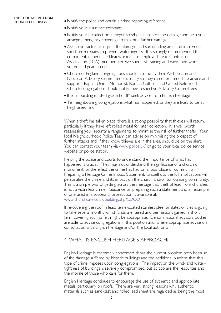#### THEFT OF METAL FROM CHURCH BUILDINGS

- Notify the police and obtain a crime reporting reference.
- Notify your insurance company.
- Notify your architect or surveyor so s/he can inspect the damage and help you arrange emergency coverings to minimise further damage.
- Ask a contractor to inspect the damage and surrounding area and implement short-term repairs to prevent water ingress. It is strongly recommended that competent, experienced leadworkers are employed; Lead Contractors Association (LCA) members receive specialist training and have their work vetted and guaranteed.
- Church of England congregations should also notify their Archdeacon and Diocesan Advisory Committee Secretary so they can offer immediate advice and support. Baptist Union, Methodist, Roman Catholic and United Reformed Church congregations should notify their respective Advisory Committees.
- If your building is listed grade I or II\* seek advice from English Heritage
- Tell neighbouring congregations what has happened, as they are likely to be at heightened risk.

When a theft has taken place, there is a strong possibility that thieves will return, particularly if they have left rolled metal for later collection. It is well worth reassessing your security arrangements to minimise the risk of further thefts. Your local Neighbourhood Police Team can advise on minimising the prospect of further attacks and, if they know thieves are in the area, should be on the alert. You can contact your team via [www.police.uk/](http://www.police.uk/) or go to your local police service website or police station.

Helping the police and courts to understand the importance of what has happened is crucial. They may not understand the significance of a church or monument, or the effect the crime has had on a local place or community. Preparing a Heritage Crime Impact Statement, to spell out the full implications will personalise the crime and its impact on the church and/or surrounding community. This is a simple way of getting across the message that theft of lead from churches is not a victimless crime. Guidance on preparing such a statement and an example of one used in a successful prosecution is available at: [www.churchcare.co.uk/building.php?CDOD](http://www.churchcare.co.uk/building.php?CDOD)

If re-covering the roof in lead, terne-coated stainless steel or slates or tiles is going to take several months whilst funds are raised and permissions gained, a short term covering such as felt might be appropriate. Denominational advisory bodies are able to advise congregations in this position and, where appropriate advise on consultation with English Heritage and/or the local authority.

#### 4. WHAT IS ENGLISH HERITAGE'S APPROACH?

English Heritage is extremely concerned about the current problem both because of the damage suffered by historic buildings and the additional burdens that this type of crime imposes upon congregations. The impact on the wind- and watertightness of buildings is severely compromised, but so too are the resources and the morale of those who care for them.

English Heritage continues to encourage the use of authentic and appropriate metals, particularly on roofs. There are very strong reasons why authentic materials such as sand-cast and rolled lead sheet are regarded as being the most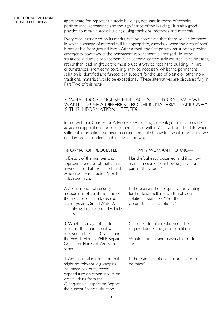CHURCH BUILDINGS appropriate for important historic buildings, not least in terms of technical performance, appearance and the significance of the building. It is also good practice to repair historic buildings using traditional methods and materials.

> Every case is assessed on its merits, but we appreciate that there will be instances in which a change of material will be appropriate, especially when the area of roof is not visible from ground level. After a theft, the first priority must be to provide emergency cover whilst the permanent replacement is arranged. In some situations, a durable replacement such as terne-coated stainless steel, tiles or slates, rather than lead, might be the most prudent way to repair the building. In rare circumstances, short-term coverings may be necessary whilst the permanent solution is identified and funded, but support for the use of plastic or other nontraditional materials would be exceptional. These alternatives are discussed fully in Part Two of this note.

#### 5. WHAT DOES ENGLISH HERITAGE NEED TO KNOW IF WE WANT TO USE A DIFFERENT ROOFING MATERIAL - AND WHY IS THIS INFORMATION NEEDED?

In line with our Charter for Advisory Services, English Heritage aims to provide advice on applications for replacement of lead within 21 days from the date when sufficient information has been received; the table below lists what information we need in order to offer sensible advice and why.

1. Details of the number and approximate dates of thefts that have occurred at the church and which roof was affected (porch, aisle, nave etc.).

2. A description of security measures in place at the time of the most recent theft, e.g. roof alarm systems, SmartWater®, security lighting, restricted vehicle access.

3. Whether any grant-aid for repair of the church roof was received in the last 10 years under the English Heritage/HLF Repair Grants for Places of Worship Scheme.

4. Any financial information that might be relevant, e.g. capping insurance pay-outs, recent expenditure on other repairs or works arising from the Quinquennial Inspection Report, the current financial situation.

#### INFORMATION REQUESTED WHY WE WANT TO KNOW

Has theft already occurred, and if so how many times and from how significant a part of the church?

Is there a realistic prospect of preventing further lead thefts? Have the obvious solutions been tried? Are the circumstances exceptional?

Could like-for-like replacement be required under the grant conditions?

Would it be fair and reasonable to do so?

Is there an exceptional financial case to be made?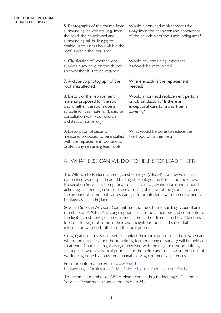#### THEFT OF METAL FROM CHURCH BUILDINGS

5. Photographs of the church from surrounding viewpoints (e.g. from the road, the churchyard and surrounding tall buildings) to enable us to assess how visible the roof is within the local area. 6. Clarification of whether lead survives elsewhere on the church and whether it is to be retained. Would a non-lead replacement take away from the character and appearance of the church or of the surrounding area? Would any remaining important leadwork be kept in situ? 7. A close-up photograph of the roof area affected. 8. Details of the replacement material proposed for the roof, and whether the roof slope is suitable for this material (based on consultation with your church architect or surveyor). Where exactly is the replacement needed? Would a non-lead replacement perform its job satisfactorily? Is there an exceptional case for a short-term covering? 9. Description of security measures proposed to be installed What would be done to reduce the likelihood of further loss?

### 6. WHAT ELSE CAN WE DO TO HELP STOP LEAD THEFT?

with the replacement roof and to protect any remaining lead roofs.

The Alliance to Reduce Crime against Heritage (ARCH) is a new voluntary national network, spearheaded by English Heritage, the Police and the Crown Prosecution Service, is taking forward initiatives to galvanise local and national action against heritage crime. The overriding objective of the group is to reduce the amount of crime that causes damage to or interferes with the enjoyment of heritage assets in England.

Several Diocesan Advisory Committees and the Church Buildings Council are members of ARCH. Any congregation can also be a member and contribute to the fight against heritage crime, including metal theft from churches. Members look out for signs of crime in their own neighbourhoods and share that information with each other and the local police.

Congregations are also advised to contact their local police to find out when and where the next neighbourhood policing team meeting or surgery will be held and to attend. Churches might also get involved with the neighbourhood policing team panel, which sets local priorities for the police and has a say in the kinds of work being done by convicted criminals serving community sentences.

For more information, go to: [www.english](http://www.english-heritage.org.uk/professional/advice/advice-by-topic/heritage-crime/arch/)[heritage.org.uk/professional/advice/advice-by-topic/heritage-crime/arch/](http://www.english-heritage.org.uk/professional/advice/advice-by-topic/heritage-crime/arch/) 

To become a member of ARCH please contact English Heritage's Customer Services Department (contact details on p.24).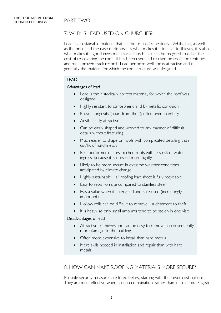### 7. WHY IS LEAD USED ON CHURCHES?

Lead is a sustainable material that can be re-used repeatedly. Whilst this, as well as the price and the ease of disposal, is what makes it attractive to thieves, it is also what makes it a good investment for a church as it can be recycled to offset the cost of re-covering the roof. It has been used and re-used on roofs for centuries and has a proven track record. Lead performs well, looks attractive and is generally the material for which the roof structure was designed.

#### LEAD

#### Advantages of lead

- Lead is the historically correct material, for which the roof was designed
- Highly resistant to atmospheric and bi-metallic corrosion
- Proven longevity (apart from theft); often over a century
- Aesthetically attractive
- Can be easily shaped and worked to any manner of difficult details without fracturing
- Much easier to shape on roofs with complicated detailing than cut/fix of hard metals
- Best performer on low-pitched roofs with less risk of water ingress, because it is dressed more tightly
- Likely to be more secure in extreme weather conditions anticipated by climate change
- Highly sustainable all roofing lead sheet is fully recyclable
- Easy to repair on site compared to stainless steel
- Has a value when it is recycled and is re-used (increasingly important)
- Hollow rolls can be difficult to remove a deterrent to theft
- It is heavy so only small amounts tend to be stolen in one visit

#### Disadvantages of lead

- Attractive to thieves and can be easy to remove so consequently more damage to the building
- Often more expensive to install than hard metals
- More skills needed in installation and repair than with hard metals

### 8. HOW CAN MAKE ROOFING MATERIALS MORE SECURE?

Possible security measures are listed below, starting with the lower cost options. They are most effective when used in combination, rather than in isolation. English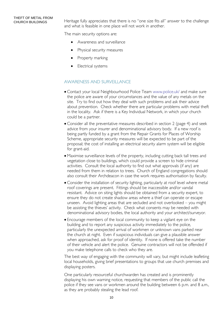### THEFT OF METAL FROM

CHURCH BUILDINGS Heritage fully appreciates that there is no "one size fits all" answer to the challenge and what is feasible in one place will not work in another.

The main security options are:

- Awareness and surveillance
- Physical security measures
- $\bullet$  Property marking
- Electrical systems

#### AWARENESS AND SURVEILLANCE

- Contact your local Neighbourhood Police Team [www.police.uk/](http://www.police.uk/) and make sure the police are aware of your circumstances and the value of any metals on the site. Try to find out how they deal with such problems and ask their advice about prevention. Check whether there are particular problems with metal theft in the locality. Ask if there is a Key Individual Network, in which your church could be a partner.
- Consider all the preventative measures described in section 2 (page 4) and seek advice from your insurer and denominational advisory body. If a new roof is being partly funded by a grant from the Repair Grants for Places of Worship Scheme, appropriate security measures will be expected to be part of the proposal; the cost of installing an electrical security alarm system will be eligible for grant-aid.
- Maximise surveillance levels of the property, including cutting back tall trees and vegetation close to buildings, which could provide a screen to hide criminal activities. Consult the local authority to find out what approvals (if any) are needed from them in relation to trees. Church of England congregations should also consult their Archdeacon in case the work requires authorisation by faculty.
- Consider the installation of security lighting, particularly at roof level where metal roof coverings are present. Fittings should be inaccessible and/or vandal resistant. Advice on siting lights should be obtained from a security expert, to ensure they do not create shadow areas where a thief can operate or escape unseen. Avoid lighting areas that are secluded and not overlooked – you might be assisting the thieves' activity. Check what consents may be needed with denominational advisory bodies, the local authority and your architect/surveyor.
- Encourage members of the local community to keep a vigilant eye on the building and to report any suspicious activity immediately to the police, particularly the unexpected arrival of workmen or unknown vans parked near the church at night. Even if suspicious individuals can give a plausible answer when approached, ask for proof of identity. If none is offered take the number of their vehicle and alert the police. Genuine contractors will not be offended if you make telephone calls to check who they are.

The best way of engaging with the community will vary, but might include leafleting local households, giving brief presentations to groups that use church premises and displaying posters.

One particularly resourceful churchwarden has created and is prominently displaying his own warning notice, requesting that members of the public call the police if they see vans or workmen around the building between 6 p.m. and 8 a.m., as they are probably stealing the lead roof.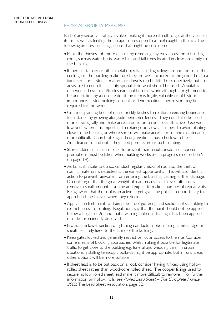#### PHYSICAL SECURITY MEASURES

Part of any security strategy involves making it more difficult to get at the valuable items, as well as limiting the escape routes open to a thief caught in the act. The following are low cost suggestions that might be considered:

- Make the thieves' job more difficult by removing any easy access onto building roofs, such as water butts, waste bins and tall trees located in close proximity to the building
- If there is statuary or other metal objects, including railings around tombs, in the curtilage of the building, make sure they are well anchored to the ground or to a fixed structure. Steel armatures or dowels can be fitted retrospectively, but it is advisable to consult a security specialist on what should be used. A suitably experienced craftsman/tradesman could do this work, although it might need to be undertaken by a conservator if the item is fragile, valuable or of historical importance. Listed building consent or denominational permission may be required for this work.
- Consider planting beds of dense prickly bushes to reinforce existing boundaries, for instance by growing alongside perimeter fences. They could also be used more strategically and make access routes onto roofs less attractive. Use wide, low beds where it is important to retain good views. It is best to avoid planting close to the building or where shrubs will make access for routine maintenance more difficult. Church of England congregations must check with their Archdeacon to find out if they need permission for such planting.
- Store ladders in a secure place to prevent their unauthorised use. Special precautions must be taken when building works are in progress (see section 9 on page 14).
- As far as it is safe to do so, conduct regular checks of roofs so the theft of roofing materials is detected at the earliest opportunity. This will also identify action to prevent rainwater from entering the building, causing further damage. Do not forget that the great weight of lead means that thieves often only remove a small amount at a time and expect to make a number of repeat visits. Being aware that the roof is an active target gives the police an opportunity to apprehend the thieves when they return.
- Apply anti-climb paint to drain pipes, roof guttering and sections of scaffolding to restrict access to roofing. Regulations say that the paint should not be applied below a height of 2m and that a warning notice indicating it has been applied must be prominently displayed.
- Protect the lower section of lightning conductor ribbons using a metal cage or sheath securely fixed to the fabric of the building.
- Keep gates locked and generally restrict vehicular access to the site. Consider some means of blocking approaches, whilst making it possible for legitimate traffic to get close to the building e.g. funeral and wedding cars. In urban situations, installing telescopic bollards might be appropriate, but in rural areas, other options will be more suitable.
- If sheet lead is to be put back on a roof, consider having it fixed using hollow rolled sheet rather than wood-core rolled sheet. The copper fixings used to secure hollow rolled sheet lead make it more difficult to remove. For further information on hollow rolls, see Rolled Lead Sheet – The Complete Manual 2003. The Lead Sheet Association, page 32.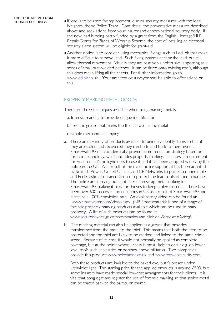- If lead is to be used for replacement, discuss security measures with the local Neighbourhood Police Team. Consider all the preventative measures described above and seek advice from your insurer and denominational advisory body. If the new lead is being partly funded by a grant from the English Heritage/HLF Repair Grants for Places of Worship Scheme, the cost of installing an electrical security alarm system will be eligible for grant-aid.
- Another option is to consider using mechanical fixings such as LedLok that make it more difficult to remove lead. Such fixing systems anchor the lead, but still allow thermal movement. Visually they are relatively unobtrusive, appearing as a series of small butt-welded patches. It can be fitted onto existing roofs, although this does mean lifting all the sheets. For further information go to [www.ledlok.co.uk](http://www.ledlok.co.uk/) . Your architect or surveyor may be able to offer advice on this.

#### PROPERTY MARKING METAL GOODS

There are three techniques available when using marking metals:

- a. forensic marking to provide unique identification
- b. forensic grease that marks the thief as well as the metal
- c. simple mechanical stamping
- a. There are a variety of products available to uniquely identify items so that if they are stolen and recovered they can be traced back to their owner. SmartWater® is an academically-proven crime reduction strategy based on forensic technology, which includes property marking. It is now a requirement for Ecclesiastical's policyholders to use it and it has been adopted widely by the police in the UK. As a result of the overt police support, it has been adopted by Scottish Power, United Utilities and CE Networks to protect copper cable and Ecclesiastical Insurance Group to protect the lead roofs of client churches. The police are carrying out spot checks on scrap metal looking for SmartWater®, making it risky for thieves to keep stolen material. There have been over 600 successful prosecutions in UK as a result of SmartWater® and it retains a 100% conviction rate. An explanatory video can be found at: [www.smartwater.com/Video.aspx](http://www.smartwater.com/Video.aspx) (NB SmartWater® is one of a range of forensic property marking products available which can be used to mark property. A list of such products can be found at [www.securedbydesign.com/companies](http://www.securedbydesign.com/companies) and click on *Forensic Marking*)
- b. The marking material can also be applied as a grease that provides transference from the metal to the thief. This means that both the item to be protected and the thief are likely to be marked and linked to the same crimescene. Because of its cost, it would not normally be applied as complete coverage, but at the points where access is most likely to occur e.g. on lowerlevel roofs such as vestries or porches, above oil tanks. Two companies provide this product: [www.selectadna.co.uk](http://www.selectadna.co.uk/) and [www.redwebsecurity.com.](http://www.redwebsecurity.com/)

Both these products are invisible to the naked eye, but fluoresce under ultraviolet light. The starting price for the applied products is around £500, but some insurers have made special low-cost arrangements for their clients. It is vital that congregations register the use of forensic marking so that stolen metal can be traced back to the particular church.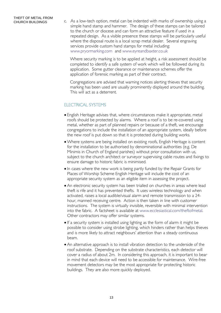CHURCH BUILDINGS C. As a low-tech option, metal can be indented with marks of ownership using a simple hand stamp and hammer. The design of these stamps can be tailored to the church or diocese and can form an attractive feature if used in a repeated design. As a visible presence these stamps will be particularly useful where the disposal route is a local scrap metal dealer. Several engraving services provide custom hand stamps for metal including: [www.pryormarking.com](http://www.pryormarking.com/) and [www.eyreandbaxter.co.uk](http://www.eyreandbaxter.co.uk/)

> Where security marking is to be applied at height, a risk assessment should be completed to identify a safe system of work which will be followed during its application. Some gutter clearance or maintenance schemes offer the application of forensic marking as part of their contract.

Congregations are advised that warning notices alerting thieves that security marking has been used are usually prominently displayed around the building. This will act as a deterrent.

#### ELECTRICAL SYSTEMS

- English Heritage advises that, where circumstances make it appropriate, metal roofs should be protected by alarms. Where a roof is to be re-covered using metal, whether as part of planned repairs or because of a theft, we encourage congregations to include the installation of an appropriate system, ideally before the new roof is put down so that it is protected during building works.
- Where systems are being installed on existing roofs, English Heritage is content for the installation to be authorised by denominational authorities (e.g. De Minimis in Church of England parishes) without prior consultation with us, subject to the church architect or surveyor supervising cable routes and fixings to ensure damage to historic fabric is minimised.
- In cases where the new work is being partly funded by the Repair Grants for Places of Worship Scheme English Heritage will include the cost of an appropriate security system as an eligible item in assessing the project.
- An electronic security system has been trialled on churches in areas where lead theft is rife and it has prevented thefts. It uses wireless technology and when activated, raises a local audible/visual alarm and remote transmission to a 24 hour, manned receiving centre. Action is then taken in line with customer instructions. The system is virtually invisible, reversible with minimal intervention into the fabric. A factsheet is available at [www.ecclesiastical.com/theftofmetal](http://www.ecclesiastical.com/theftofmetal). Other contractors may offer similar systems.
- If a security system is installed using lighting as the form of alarm it might be possible to consider using strobe lighting, which hinders rather than helps thieves and is more likely to attract neighbours' attention than a steady continuous beam.
- An alternative approach is to install vibration detection to the underside of the roof substrate. Depending on the substrate characteristics, each detector will cover a radius of about 2m. In considering this approach, it is important to bear in mind that each device will need to be accessible for maintenance. Wire-free movement detectors may be the most appropriate for protecting historic buildings. They are also more quickly deployed.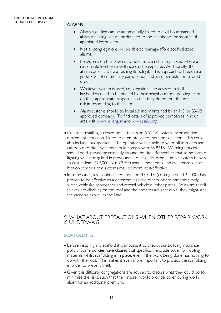- Alarm signalling can be automatically linked to a 24 hour manned alarm receiving centre, or directed to the telephones or mobiles of appointed keyholders.
- Not all congregations will be able to manage/afford sophisticated alarms.
- Bells/sirens on their own may be effective in built-up areas, where a reasonable level of surveillance can be expected. Additionally, the alarm could activate a flashing floodlight. This approach will require a good level of community participation and is not suitable for isolated sites.
- Whatever system is used, congregations are advised that all keyholders need to be briefed by their neighbourhood policing team on their appropriate response so that they do not put themselves at risk in responding to the alarm.
- Alarm systems should be installed and maintained by an NSI or SSAIB approved company. To find details of approved companies in your area visit [www.nsi.org.uk](http://www.nsi.org.uk/) and [www.ssaib.org](http://www.ssaib.org/).
- Consider installing a closed circuit television (CCTV) system, incorporating movement detection, linked to a remote video monitoring station. This could also include loudspeakers. The operator will be able to warn-off intruders and call police to site. Systems should comply with BS 8418. Warning notices should be displayed prominently around the site. Remember that some form of lighting will be required in most cases. As a guide, even a simple system is likely to cost at least £12,000, plus £3,500 annual monitoring and maintenance cost. Motion sensor alarm systems may be more cost-effective.
- $\bullet$  In some cases, less sophisticated monitored CCTV (costing around £4,000) has proved to be effective as a deterrent, as have others where cameras simply watch vehicular approaches and record vehicle number plates. Be aware that if thieves are climbing on the roof and the cameras are accessible, they might steal the cameras as well as the lead.

#### 9. WHAT ABOUT PRECAUTIONS WHEN OTHER REPAIR WORK IS UNDERWAY?

#### SCAFFOLDING

- Before installing any scaffold it is important to check your building insurance policy. Some policies have clauses that specifically exclude cover for roofing materials whilst scaffolding is in place, even if the work being done has nothing to do with the roof. This makes it even more important to protect the scaffolding in order to prevent theft.
- Given this difficulty congregations are advised to discuss what they could do to minimise the risks, such that their insurer would provide cover during works, albeit for an additional premium.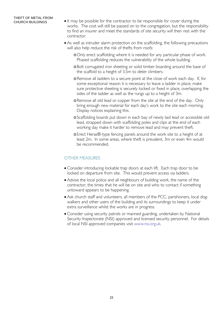- It may be possible for the contractor to be responsible for cover during the works. The cost will still be passed on to the congregation, but the responsibility to find an insurer and meet the standards of site security will then rest with the contractor.
- As well as intruder alarm protection on the scaffolding, the following precautions will also help reduce the risk of thefts from roofs:
	- oOnly erect scaffolding where it is needed for any particular phase of work. Phased scaffolding reduces the vulnerability of the whole building.
	- oBolt corrugated iron sheeting or solid timber boarding around the base of the scaffold to a height of 3.5m to deter climbers.
	- oRemove all ladders to a secure point at the close of work each day. If, for some exceptional reason it is necessary to leave a ladder in place, make sure protective sheeting is securely locked or fixed in place, overlapping the sides of the ladder as well as the rungs up to a height of 3m.
	- oRemove all old lead or copper from the site at the end of the day. Only bring enough new material for each day's work to the site each morning. Display notices explaining this.
	- oScaffolding boards put down in each bay of newly laid lead or accessible old lead, strapped down with scaffolding poles and clips at the end of each working day make it harder to remove lead and may prevent theft.
	- oErect Heras®-type fencing panels around the work site to a height of at least 2m. In some areas, where theft is prevalent, 3m or even 4m would be recommended.

#### OTHER MEASURES

- Consider introducing lockable trap doors at each lift. Each trap door to be locked on departure from site. This would prevent access via ladders.
- Advise the local police and all neighbours of building work, the name of the contractor, the times that he will be on site and who to contact if something untoward appears to be happening.
- Ask church staff and volunteers, all members of the PCC, parishioners, local dogwalkers and other users of the building and its surroundings to keep it under extra surveillance whilst the works are in progress.
- Consider using security patrols or manned guarding, undertaken by National Security Inspectorate (NSI) approved and licensed security personnel. For details of local NSI approved companies visit [www.nsi.org.uk](http://www.nsi.org.uk/).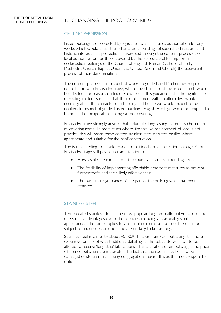#### GETTING PERMISSION

Listed buildings are protected by legislation which requires authorisation for any works which would affect their character as buildings of special architectural and historic interest. This protection is exercised through the consent processes of local authorities or, for those covered by the Ecclesiastical Exemption (i.e. ecclesiastical buildings of the Church of England, Roman Catholic Church, Methodist Church, Baptist Union and United Reformed Church) the equivalent process of their denomination.

The consent processes in respect of works to grade I and II\* churches require consultation with English Heritage, where the character of the listed church would be affected. For reasons outlined elsewhere in this guidance note, the significance of roofing materials is such that their replacement with an alternative would normally affect the character of a building and hence we would expect to be notified. In respect of grade II listed buildings, English Heritage would not expect to be notified of proposals to change a roof covering.

English Heritage strongly advises that a durable, long-lasting material is chosen for re-covering roofs. In most cases where like-for-like replacement of lead is not practical this will mean terne-coated stainless steel or slates or tiles where appropriate and suitable for the roof construction.

The issues needing to be addressed are outlined above in section 5 (page 7), but English Heritage will pay particular attention to:

- How visible the roof is from the churchyard and surrounding streets;
- The feasibility of implementing affordable deterrent measures to prevent further thefts and their likely effectiveness;
- The particular significance of the part of the building which has been attacked.

#### STAINLESS STEEL

Terne-coated stainless steel is the most popular long-term alternative to lead and offers many advantages over other options, including a reasonably similar appearance. The same applies to zinc or aluminium, but both of these can be subject to underside corrosion and are unlikely to last as long.

Stainless steel is currently about 40-50% cheaper than lead, but laying it is more expensive on a roof with traditional detailing, as the substrate will have to be altered to receive 'long strip' fabrications. This alteration often outweighs the price difference between the materials. The fact that the roof is less likely to be damaged or stolen means many congregations regard this as the most responsible option.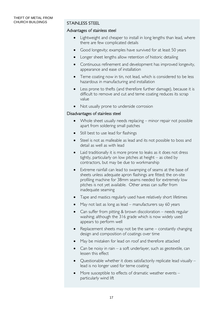#### STAINLESS STEEL

#### Advantages of stainless steel

- Lightweight and cheaper to install in long lengths than lead, where there are few complicated details
- Good longevity; examples have survived for at least 50 years
- Longer sheet lengths allow retention of historic detailing
- Continuous refinement and development has improved longevity, appearance and ease of installation
- Terne coating now in tin, not lead, which is considered to be less hazardous in manufacturing and installation
- Less prone to thefts (and therefore further damage), because it is difficult to remove and cut and terne coating reduces its scrap value
- Not usually prone to underside corrosion

#### Disadvantages of stainless steel

- Whole sheet usually needs replacing minor repair not possible apart from soldering small patches
- Still best to use lead for flashings
- Steel is not as malleable as lead and its not possible to boss and detail as well as with lead
- Laid traditionally it is more prone to leaks as it does not dress tightly, particularly on low pitches at height – as cited by contractors, but may be due to workmanship
- Extreme rainfall can lead to swamping of seams at the base of sheets unless adequate apron flashings are fitted; the on-site profiling machine for 38mm seams needed for extremely low pitches is not yet available. Other areas can suffer from inadequate seaming
- Tape and mastics regularly used have relatively short lifetimes
- May not last as long as lead manufacturers say 60 years
- Can suffer from pitting & brown discoloration needs regular washing; although the 316 grade which is now widely used appears to perform well
- $\bullet$  Replacement sheets may not be the same constantly changing design and composition of coatings over time
- May be mistaken for lead on roof and therefore attacked
- Can be noisy in rain a soft underlayer, such as geotextile, can lessen this effect
- Questionable whether it does satisfactorily replicate lead visually lead is no longer used for terne coating
- More susceptible to effects of dramatic weather events particularly wind lift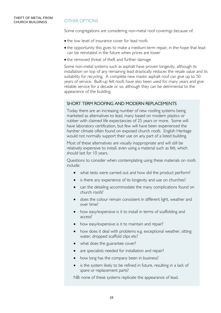Some congregations are considering non-metal roof coverings because of:

- the low level of insurance cover for lead roofs
- the opportunity this gives to make a medium-term repair, in the hope that lead can be reinstated in the future when prices are lower
- the removed threat of theft and further damage

Some non-metal systems such as asphalt have proven longevity, although its installation on top of any remaining lead drastically reduces the resale value and its suitability for recycling. A complete new mastic asphalt roof can give up to 50 years of service. Built-up felt roofs have also been used for many years and give reliable service for a decade or so, although they can be detrimental to the appearance of the building.

#### SHORT TERM ROOFING AND MODERN REPLACEMENTS

Today there are an increasing number of new roofing systems being marketed as alternatives to lead, many based on modern plastics or rubber with claimed life expectancies of 25 years or more. Some will have laboratory certification, but few will have been experienced the harsher climate often found on exposed church roofs. English Heritage would not normally support their use on any part of a listed building.

Most of these alternatives are visually inappropriate and will still be relatively expensive to install, even using a material such as felt, which should last for 10 years.

Questions to consider when contemplating using these materials on roofs include:

- what tests were carried out and how did the product perform?
- is there any experience of its longevity and use on churches?
- can the detailing accommodate the many complications found on church roofs?
- does the colour remain consistent in different light, weather and over time?
- how easy/expensive is it to install in terms of scaffolding and access?
- how easy/expensive is it to maintain and repair?
- how does it deal with problems e.g. exceptional weather, sitting water, dropped scaffold clips etc?
- what does the guarantee cover?
- are specialists needed for installation and repair?
- how long has the company been in business?
- is the system likely to be refined in future, resulting in a lack of spare or replacement parts?

NB: none of these systems replicate the appearance of lead.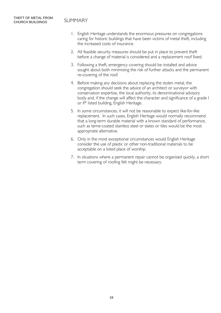- 1. English Heritage understands the enormous pressures on congregations caring for historic buildings that have been victims of metal theft, including the increased costs of insurance.
- 2. All feasible security measures should be put in place to prevent theft before a change of material is considered and a replacement roof fixed.
- 3. Following a theft, emergency covering should be installed and advice sought about both minimising the risk of further attacks and the permanent re-covering of the roof.
- 4. Before making any decisions about replacing the stolen metal, the congregation should seek the advice of an architect or surveyor with conservation expertise, the local authority, its denominational advisory body and, if the change will affect the character and significance of a grade I or II\* listed building, English Heritage.
- 5. In some circumstances, it will not be reasonable to expect like-for-like replacement. In such cases, English Heritage would normally recommend that a long-term durable material with a known standard of performance, such as terne-coated stainless steel or slates or tiles would be the most appropriate alternative.
- 6. Only in the most exceptional circumstances would English Heritage consider the use of plastic or other non-traditional materials to be acceptable on a listed place of worship.
- 7. In situations where a permanent repair cannot be organised quickly, a short term covering of roofing felt might be necessary.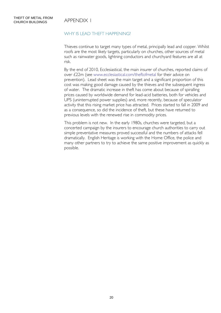#### WHY IS LEAD THEFT HAPPENING?

Thieves continue to target many types of metal, principally lead and copper. Whilst roofs are the most likely targets, particularly on churches, other sources of metal such as rainwater goods, lightning conductors and churchyard features are all at risk.

By the end of 2010, Ecclesiastical, the main insurer of churches, reported claims of over £22m (see [www.ecclesiastical.com/theftofmetal](http://www.ecclesiastical.com/theftofmetal) for their advice on prevention). Lead sheet was the main target and a significant proportion of this cost was making good damage caused by the thieves and the subsequent ingress of water. The dramatic increase in theft has come about because of spiralling prices caused by worldwide demand for lead-acid batteries, both for vehicles and UPS (uninterrupted power supplies) and, more recently, because of speculator activity that this rising market price has attracted. Prices started to fall in 2009 and as a consequence, so did the incidence of theft, but these have returned to previous levels with the renewed rise in commodity prices.

This problem is not new. In the early 1980s, churches were targeted, but a concerted campaign by the insurers to encourage church authorities to carry out simple preventative measures proved successful and the numbers of attacks fell dramatically. English Heritage is working with the Home Office, the police and many other partners to try to achieve the same positive improvement as quickly as possible.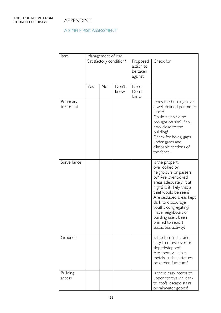#### A SIMPLE RISK ASSESSMENT

| Item                      | Management of risk      |    |               |                                              |                                                                                                                                                                                                                                                                                                                                    |  |  |  |  |
|---------------------------|-------------------------|----|---------------|----------------------------------------------|------------------------------------------------------------------------------------------------------------------------------------------------------------------------------------------------------------------------------------------------------------------------------------------------------------------------------------|--|--|--|--|
|                           | Satisfactory condition? |    |               | Proposed<br>action to<br>be taken<br>against | Check for                                                                                                                                                                                                                                                                                                                          |  |  |  |  |
|                           | Yes                     | No | Don't<br>know | No or<br>Don't<br>know                       |                                                                                                                                                                                                                                                                                                                                    |  |  |  |  |
| Boundary<br>treatment     |                         |    |               |                                              | Does the building have<br>a well defined perimeter<br>fence?<br>Could a vehicle be<br>brought on site? If so,<br>how close to the<br>building?<br>Check for holes, gaps<br>under gates and<br>climbable sections of<br>the fence.                                                                                                  |  |  |  |  |
| Surveillance              |                         |    |               |                                              | Is the property<br>overlooked by<br>neighbours or passers<br>by? Are overlooked<br>areas adequately lit at<br>night? Is it likely that a<br>thief would be seen?<br>Are secluded areas kept<br>dark to discourage<br>youths congregating?<br>Have neighbours or<br>building users been<br>primed to report<br>suspicious activity? |  |  |  |  |
| Grounds                   |                         |    |               |                                              | Is the terrain flat and<br>easy to move over or<br>sloped/stepped?<br>Are there valuable<br>metals, such as statues<br>or garden furniture?                                                                                                                                                                                        |  |  |  |  |
| <b>Building</b><br>access |                         |    |               |                                              | Is there easy access to<br>upper storeys via lean-<br>to roofs, escape stairs<br>or rainwater goods?                                                                                                                                                                                                                               |  |  |  |  |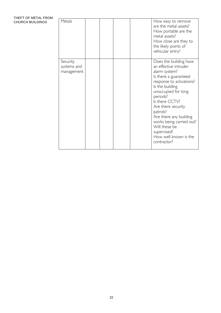| THEFT OF METAL FROM<br>CHURCH BUILDINGS | Metals                                |  |  | How easy to remove<br>are the metal assets?<br>How portable are the<br>metal assets?<br>How close are they to                                                                                                                                                                                                                                                 |
|-----------------------------------------|---------------------------------------|--|--|---------------------------------------------------------------------------------------------------------------------------------------------------------------------------------------------------------------------------------------------------------------------------------------------------------------------------------------------------------------|
|                                         |                                       |  |  | the likely points of<br>vehicular entry?                                                                                                                                                                                                                                                                                                                      |
|                                         | Security<br>systems and<br>management |  |  | Does the building have<br>an effective intruder<br>alarm system?<br>Is there a guaranteed<br>response to activations?<br>Is the building<br>unoccupied for long<br>periods?<br>Is there CCTV?<br>Are there security<br>patrols?<br>Are there any building<br>works being carried out?<br>Will these be<br>supervised?<br>How well known is the<br>contractor? |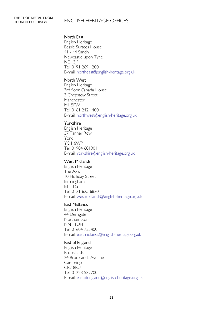### CHURCH BUILDINGS ENGLISH HERITAGE OFFICES

#### North East

English Heritage Bessie Surtees House 41 - 44 Sandhill Newcastle upon Tyne NE1 3JF Tel: 0191 269 1200 E-mail: northeast@english-heritage.org.uk

#### North West

English Heritage 3rd floor Canada House 3 Chepstow Street Manchester M1 5FW Tel: 0161 242 1400 E-mail: northwest@english-heritage.org.uk

#### Yorkshire

English Heritage 37 Tanner Row York YO1 6WP Tel: 01904 601901 E-mail: yorkshire@english-heritage.org.uk

#### West Midlands

English Heritage The Axis 10 Holliday Street Birmingham B1 1TG Tel: 0121 625 6820 E-mail: westmidlands@english-heritage.org.uk

#### East Midlands

English Heritage 44 Derngate Northampton NN1 1UH Tel: 01604 735400 E-mail: eastmidlands@english-heritage.org.uk

#### East of England

English Heritage Brooklands 24 Brooklands Avenue **Cambridge** CB<sub>2</sub> 8BU Tel: 01223 582700 E-mail: eastofengland@english-heritage.org.uk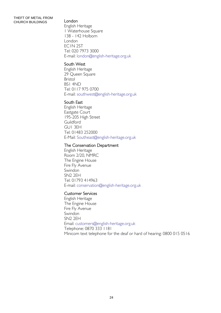#### THEFT OF METAL FROM CHURCH BUILDINGS London

English Heritage 1 Waterhouse Square 138 - 142 Holborn London EC1N 2ST Tel: 020 7973 3000 E-mail: london@english-heritage.org.uk

#### South West

English Heritage 29 Queen Square Bristol BS1 4ND Tel: 0117 975 0700 E-mail: southwest@english-heritage.org.uk

#### South East

English Heritage Eastgate Court 195-205 High Street **Guildford** GU1 3EH Tel: 01483 252000 E-Mail: Southeast@english-heritage.org.uk

#### The Conservation Department

English Heritage Room 2/20, NMRC The Engine House Fire Fly Avenue Swindon SN2 2EH Tel: 01793 414963 E-mail: conservation@english-heritage.org.uk

#### Customer Services

English Heritage The Engine House Fire Fly Avenue **Swindon** SN2 2EH Email: [customers@english-heritage.org.uk](mailto:customers@english-heritage.org.uk)  Telephone: 0870 333 1181 Minicom text telephone for the deaf or hard of hearing: 0800 015 0516